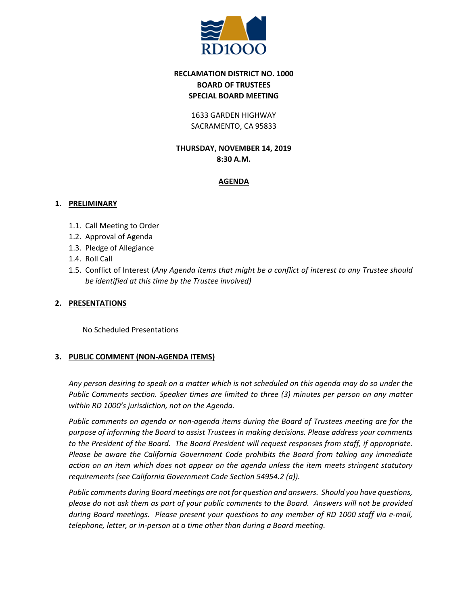

# **RECLAMATION DISTRICT NO. 1000 BOARD OF TRUSTEES SPECIAL BOARD MEETING**

### 1633 GARDEN HIGHWAY SACRAMENTO, CA 95833

# **THURSDAY, NOVEMBER 14, 2019 8:30 A.M.**

## **AGENDA**

### **1. PRELIMINARY**

- 1.1. Call Meeting to Order
- 1.2. Approval of Agenda
- 1.3. Pledge of Allegiance
- 1.4. Roll Call
- 1.5. Conflict of Interest (*Any Agenda items that might be a conflict of interest to any Trustee should be identified at this time by the Trustee involved)*

## **2. PRESENTATIONS**

No Scheduled Presentations

## **3. PUBLIC COMMENT (NON-AGENDA ITEMS)**

*Any person desiring to speak on a matter which is not scheduled on this agenda may do so under the Public Comments section. Speaker times are limited to three (3) minutes per person on any matter within RD 1000's jurisdiction, not on the Agenda.*

*Public comments on agenda or non-agenda items during the Board of Trustees meeting are for the purpose of informing the Board to assist Trustees in making decisions. Please address your comments to the President of the Board. The Board President will request responses from staff, if appropriate. Please be aware the California Government Code prohibits the Board from taking any immediate action on an item which does not appear on the agenda unless the item meets stringent statutory requirements (see California Government Code Section 54954.2 (a)).*

*Public comments during Board meetings are not for question and answers. Should you have questions, please do not ask them as part of your public comments to the Board. Answers will not be provided during Board meetings. Please present your questions to any member of RD 1000 staff via e-mail, telephone, letter, or in-person at a time other than during a Board meeting.*